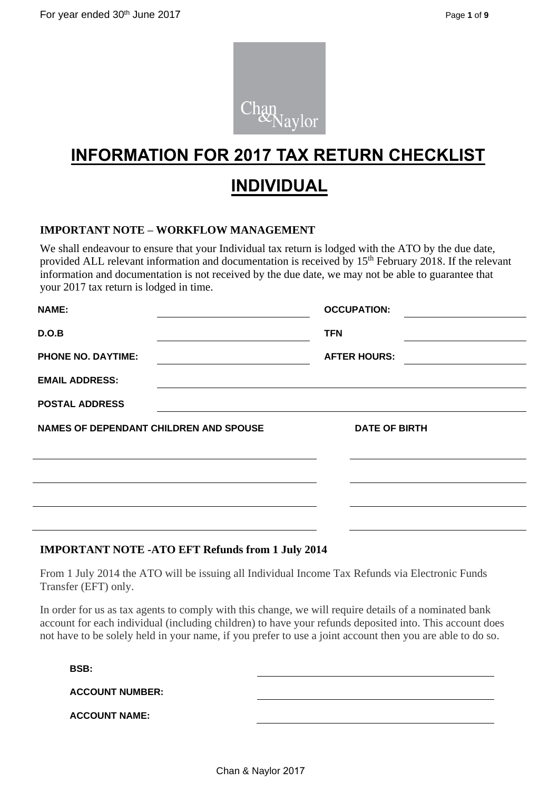

# **INFORMATION FOR 2017 TAX RETURN CHECKLIST INDIVIDUAL**

# **IMPORTANT NOTE – WORKFLOW MANAGEMENT**

We shall endeavour to ensure that your Individual tax return is lodged with the ATO by the due date, provided ALL relevant information and documentation is received by 15<sup>th</sup> February 2018. If the relevant information and documentation is not received by the due date, we may not be able to guarantee that your 2017 tax return is lodged in time.

| <b>NAME:</b>                           | <b>OCCUPATION:</b>   |  |
|----------------------------------------|----------------------|--|
| D.O.B                                  | <b>TFN</b>           |  |
| <b>PHONE NO. DAYTIME:</b>              | <b>AFTER HOURS:</b>  |  |
| <b>EMAIL ADDRESS:</b>                  |                      |  |
| <b>POSTAL ADDRESS</b>                  |                      |  |
| NAMES OF DEPENDANT CHILDREN AND SPOUSE | <b>DATE OF BIRTH</b> |  |
|                                        |                      |  |
|                                        |                      |  |
|                                        |                      |  |

### **IMPORTANT NOTE -ATO EFT Refunds from 1 July 2014**

From 1 July 2014 the ATO will be issuing all Individual Income Tax Refunds via Electronic Funds Transfer (EFT) only.

In order for us as tax agents to comply with this change, we will require details of a nominated bank account for each individual (including children) to have your refunds deposited into. This account does not have to be solely held in your name, if you prefer to use a joint account then you are able to do so.

**BSB:**

| <b>ACCOUNT NUMBER:</b> |  |
|------------------------|--|
|                        |  |

**ACCOUNT NAME:**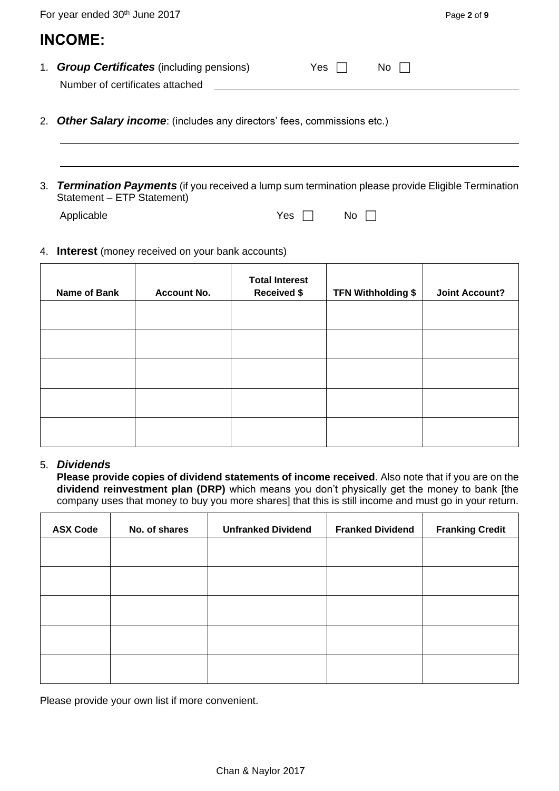|    | For year ended 30th June 2017                                                                                                                                                |                                                   |                                             |                           | Page 2 of 9           |  |  |  |  |
|----|------------------------------------------------------------------------------------------------------------------------------------------------------------------------------|---------------------------------------------------|---------------------------------------------|---------------------------|-----------------------|--|--|--|--|
|    | <b>INCOME:</b>                                                                                                                                                               |                                                   |                                             |                           |                       |  |  |  |  |
|    | Number of certificates attached                                                                                                                                              | 1. <b>Group Certificates</b> (including pensions) |                                             | Yes $\Box$<br>No          |                       |  |  |  |  |
| 2. | <b>Other Salary income:</b> (includes any directors' fees, commissions etc.)                                                                                                 |                                                   |                                             |                           |                       |  |  |  |  |
| 3. | <b>Termination Payments</b> (if you received a lump sum termination please provide Eligible Termination<br>Statement - ETP Statement)<br>Applicable<br>Yes<br>No l<br>$\Box$ |                                                   |                                             |                           |                       |  |  |  |  |
| 4. | <b>Interest</b> (money received on your bank accounts)                                                                                                                       |                                                   |                                             |                           |                       |  |  |  |  |
|    | <b>Name of Bank</b>                                                                                                                                                          | <b>Account No.</b>                                | <b>Total Interest</b><br><b>Received \$</b> | <b>TFN Withholding \$</b> | <b>Joint Account?</b> |  |  |  |  |
|    |                                                                                                                                                                              |                                                   |                                             |                           |                       |  |  |  |  |
|    |                                                                                                                                                                              |                                                   |                                             |                           |                       |  |  |  |  |

### 5. *Dividends*

**Please provide copies of dividend statements of income received**. Also note that if you are on the **dividend reinvestment plan (DRP)** which means you don't physically get the money to bank [the company uses that money to buy you more shares] that this is still income and must go in your return.

| <b>ASX Code</b> | No. of shares | <b>Unfranked Dividend</b> | <b>Franked Dividend</b> | <b>Franking Credit</b> |
|-----------------|---------------|---------------------------|-------------------------|------------------------|
|                 |               |                           |                         |                        |
|                 |               |                           |                         |                        |
|                 |               |                           |                         |                        |
|                 |               |                           |                         |                        |
|                 |               |                           |                         |                        |
|                 |               |                           |                         |                        |

Please provide your own list if more convenient.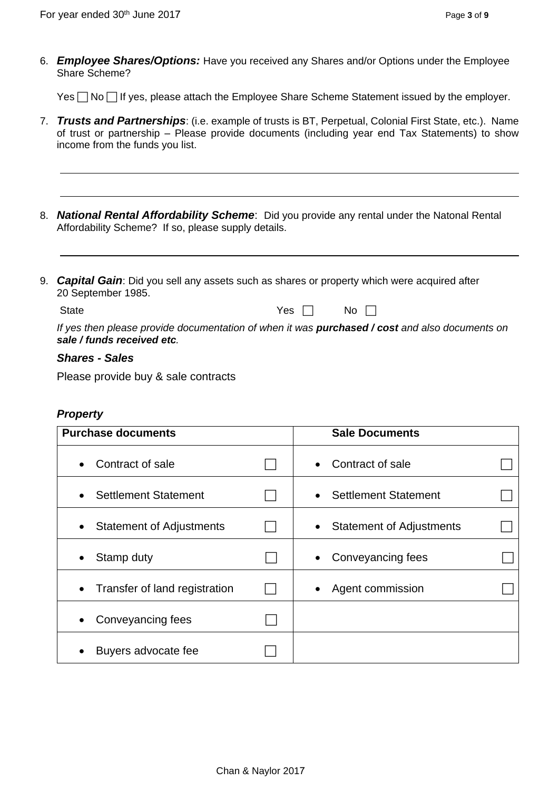6. *Employee Shares/Options:* Have you received any Shares and/or Options under the Employee Share Scheme?

Yes  $\Box$  No  $\Box$  If yes, please attach the Employee Share Scheme Statement issued by the employer.

- 7. *Trusts and Partnerships*: (i.e. example of trusts is BT, Perpetual, Colonial First State, etc.). Name of trust or partnership – Please provide documents (including year end Tax Statements) to show income from the funds you list.
- 8. *National Rental Affordability Scheme*: Did you provide any rental under the Natonal Rental Affordability Scheme? If so, please supply details.
- 9. *Capital Gain*: Did you sell any assets such as shares or property which were acquired after 20 September 1985.

State  $Yes \Box$  No  $\Box$ 

*If yes then please provide documentation of when it was purchased / cost and also documents on sale / funds received etc.*

### *Shares - Sales*

Please provide buy & sale contracts

# *Property*

| <b>Purchase documents</b>                  | <b>Sale Documents</b> |                                 |  |
|--------------------------------------------|-----------------------|---------------------------------|--|
| Contract of sale<br>$\bullet$              |                       | Contract of sale                |  |
| <b>Settlement Statement</b><br>$\bullet$   |                       | <b>Settlement Statement</b>     |  |
| <b>Statement of Adjustments</b><br>٠       |                       | <b>Statement of Adjustments</b> |  |
| Stamp duty<br>$\bullet$                    |                       | Conveyancing fees               |  |
| Transfer of land registration<br>$\bullet$ |                       | Agent commission                |  |
| Conveyancing fees<br>$\bullet$             |                       |                                 |  |
| Buyers advocate fee                        |                       |                                 |  |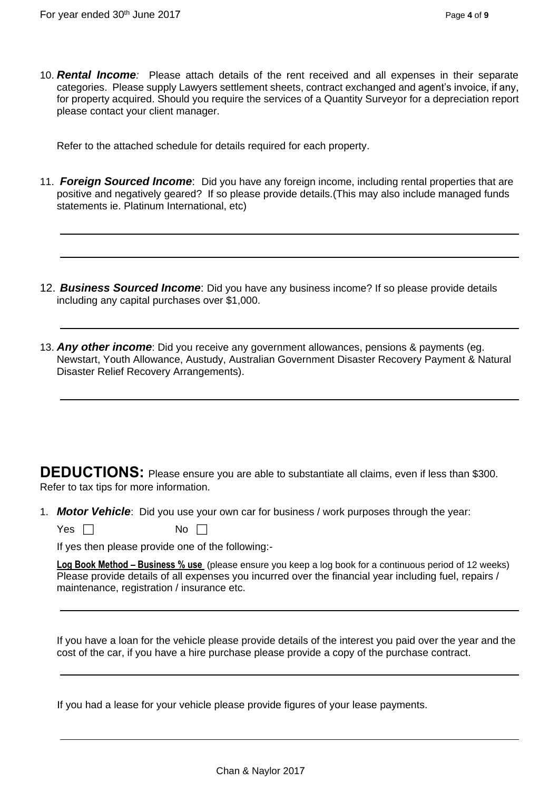10. *Rental Income:* Please attach details of the rent received and all expenses in their separate categories. Please supply Lawyers settlement sheets, contract exchanged and agent's invoice, if any, for property acquired. Should you require the services of a Quantity Surveyor for a depreciation report please contact your client manager.

Refer to the attached schedule for details required for each property.

- 11. *Foreign Sourced Income*: Did you have any foreign income, including rental properties that are positive and negatively geared? If so please provide details.(This may also include managed funds statements ie. Platinum International, etc)
- 12. *Business Sourced Income*: Did you have any business income? If so please provide details including any capital purchases over \$1,000.
- 13. *Any other income*: Did you receive any government allowances, pensions & payments (eg. Newstart, Youth Allowance, Austudy, Australian Government Disaster Recovery Payment & Natural Disaster Relief Recovery Arrangements).

**DEDUCTIONS:** Please ensure you are able to substantiate all claims, even if less than \$300. Refer to tax tips for more information.

1. *Motor Vehicle*: Did you use your own car for business / work purposes through the year:

Yes  $\Box$  No  $\Box$ 

If yes then please provide one of the following:-

**Log Book Method – Business % use** (please ensure you keep a log book for a continuous period of 12 weeks) Please provide details of all expenses you incurred over the financial year including fuel, repairs / maintenance, registration / insurance etc.

If you have a loan for the vehicle please provide details of the interest you paid over the year and the cost of the car, if you have a hire purchase please provide a copy of the purchase contract.

If you had a lease for your vehicle please provide figures of your lease payments.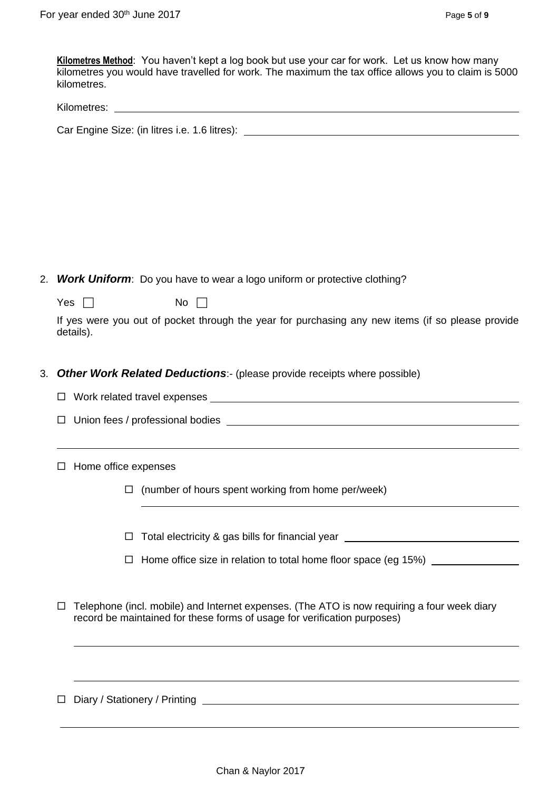**Kilometres Method**: You haven't kept a log book but use your car for work. Let us know how many kilometres you would have travelled for work. The maximum the tax office allows you to claim is 5000 kilometres.

| Kilometres: |  |
|-------------|--|
|             |  |

Car Engine Size: (in litres i.e. 1.6 litres):

2. *Work Uniform*: Do you have to wear a logo uniform or protective clothing?

Yes  $\Box$  No  $\Box$ 

If yes were you out of pocket through the year for purchasing any new items (if so please provide details).

- 3. *Other Work Related Deductions*:- (please provide receipts where possible)
	- □ Work related travel expenses
	- $\Box$  Union fees / professional bodies  $\Box$

 $\Box$  Home office expenses

 $\Box$  (number of hours spent working from home per/week)

 $\Box$  Total electricity & gas bills for financial year  $\Box$ 

 $\Box$  Home office size in relation to total home floor space (eg 15%)  $\Box$ 

 $\Box$  Telephone (incl. mobile) and Internet expenses. (The ATO is now requiring a four week diary record be maintained for these forms of usage for verification purposes)

Diary / Stationery / Printing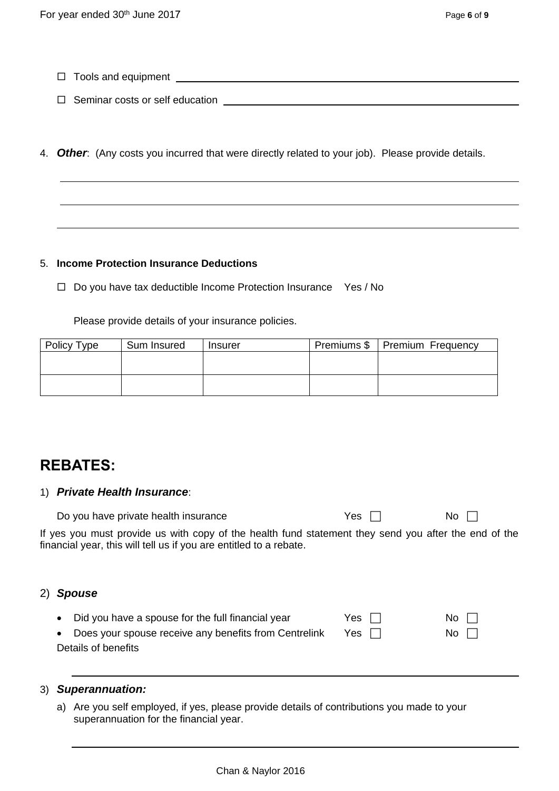- $\Box$  Tools and equipment  $\Box$
- Seminar costs or self education
- 4. *Other*: (Any costs you incurred that were directly related to your job). Please provide details.

### 5. **Income Protection Insurance Deductions**

 $\Box$  Do you have tax deductible Income Protection Insurance Yes / No

Please provide details of your insurance policies.

| Policy Type | Sum Insured | <b>Insurer</b> | Premiums \$ | Premium Frequency |
|-------------|-------------|----------------|-------------|-------------------|
|             |             |                |             |                   |
|             |             |                |             |                   |
|             |             |                |             |                   |
|             |             |                |             |                   |

# **REBATES:**

### 1) *Private Health Insurance*:

| Do you have private health insurance                                                                                                                                       | Yes $\Box$ | $No \ \Box$ |
|----------------------------------------------------------------------------------------------------------------------------------------------------------------------------|------------|-------------|
| If yes you must provide us with copy of the health fund statement they send you after the end of the<br>financial year, this will tell us if you are entitled to a rebate. |            |             |

# 2) *Spouse*

| • Did you have a spouse for the full financial year     | Yes $\Box$ | No II |
|---------------------------------------------------------|------------|-------|
| • Does your spouse receive any benefits from Centrelink | Yes $\Box$ | No II |
| Details of benefits                                     |            |       |

### 3) *Superannuation:*

a) Are you self employed, if yes, please provide details of contributions you made to your superannuation for the financial year.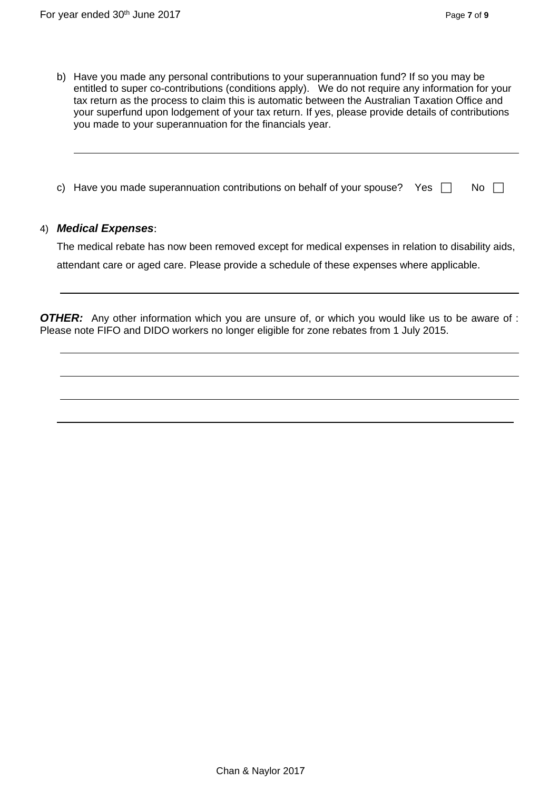- b) Have you made any personal contributions to your superannuation fund? If so you may be entitled to super co-contributions (conditions apply). We do not require any information for your tax return as the process to claim this is automatic between the Australian Taxation Office and your superfund upon lodgement of your tax return. If yes, please provide details of contributions you made to your superannuation for the financials year.
- c) Have you made superannuation contributions on behalf of your spouse? Yes  $\Box$  No  $\Box$

### 4) *Medical Expenses*:

The medical rebate has now been removed except for medical expenses in relation to disability aids, attendant care or aged care. Please provide a schedule of these expenses where applicable.

**OTHER:** Any other information which you are unsure of, or which you would like us to be aware of : Please note FIFO and DIDO workers no longer eligible for zone rebates from 1 July 2015.

\_\_\_\_\_\_\_\_\_\_\_\_\_\_\_\_\_\_\_\_\_\_\_\_\_\_\_\_\_\_\_\_\_\_\_\_\_\_\_\_\_\_\_\_\_\_\_\_\_\_\_\_\_\_\_\_\_\_\_\_\_\_\_\_\_\_\_\_\_\_\_\_\_\_\_\_\_\_\_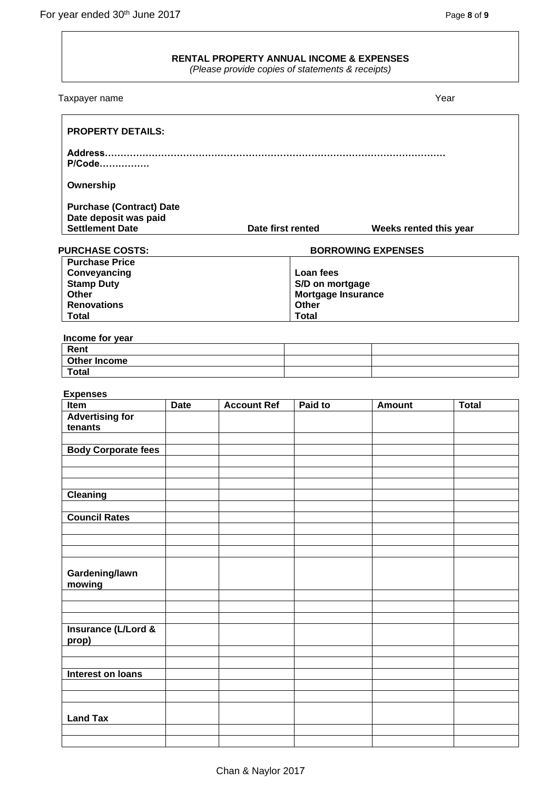# **RENTAL PROPERTY ANNUAL INCOME & EXPENSES**

*(Please provide copies of statements & receipts)*

| Taxpayer name                                            |             |                    |                                       |                           | Year         |
|----------------------------------------------------------|-------------|--------------------|---------------------------------------|---------------------------|--------------|
| <b>PROPERTY DETAILS:</b>                                 |             |                    |                                       |                           |              |
| P/Code                                                   |             |                    |                                       |                           |              |
| Ownership                                                |             |                    |                                       |                           |              |
| <b>Purchase (Contract) Date</b><br>Date deposit was paid |             |                    |                                       |                           |              |
| <b>Settlement Date</b>                                   |             | Date first rented  |                                       | Weeks rented this year    |              |
| <b>PURCHASE COSTS:</b>                                   |             |                    |                                       | <b>BORROWING EXPENSES</b> |              |
| <b>Purchase Price</b>                                    |             |                    |                                       |                           |              |
| Conveyancing                                             |             |                    | Loan fees                             |                           |              |
| <b>Stamp Duty</b><br><b>Other</b>                        |             |                    | S/D on mortgage<br>Mortgage Insurance |                           |              |
| <b>Renovations</b>                                       |             |                    | Other                                 |                           |              |
| <b>Total</b>                                             |             |                    | <b>Total</b>                          |                           |              |
| Income for year                                          |             |                    |                                       |                           |              |
| Rent                                                     |             |                    |                                       |                           |              |
| <b>Other Income</b>                                      |             |                    |                                       |                           |              |
| <b>Total</b>                                             |             |                    |                                       |                           |              |
| <b>Expenses</b>                                          |             |                    |                                       |                           |              |
| Item                                                     | <b>Date</b> | <b>Account Ref</b> | Paid to                               | <b>Amount</b>             | <b>Total</b> |
| <b>Advertising for</b><br>tenants                        |             |                    |                                       |                           |              |
| <b>Body Corporate fees</b>                               |             |                    |                                       |                           |              |
|                                                          |             |                    |                                       |                           |              |
|                                                          |             |                    |                                       |                           |              |
| <b>Cleaning</b>                                          |             |                    |                                       |                           |              |
| <b>Council Rates</b>                                     |             |                    |                                       |                           |              |
|                                                          |             |                    |                                       |                           |              |
|                                                          |             |                    |                                       |                           |              |
|                                                          |             |                    |                                       |                           |              |
| Gardening/lawn<br>mowing                                 |             |                    |                                       |                           |              |
|                                                          |             |                    |                                       |                           |              |
|                                                          |             |                    |                                       |                           |              |
|                                                          |             |                    |                                       |                           |              |
| Insurance (L/Lord &<br>prop)                             |             |                    |                                       |                           |              |
|                                                          |             |                    |                                       |                           |              |
| Interest on loans                                        |             |                    |                                       |                           |              |
|                                                          |             |                    |                                       |                           |              |
|                                                          |             |                    |                                       |                           |              |
| <b>Land Tax</b>                                          |             |                    |                                       |                           |              |
|                                                          |             |                    |                                       |                           |              |
|                                                          |             |                    |                                       |                           |              |